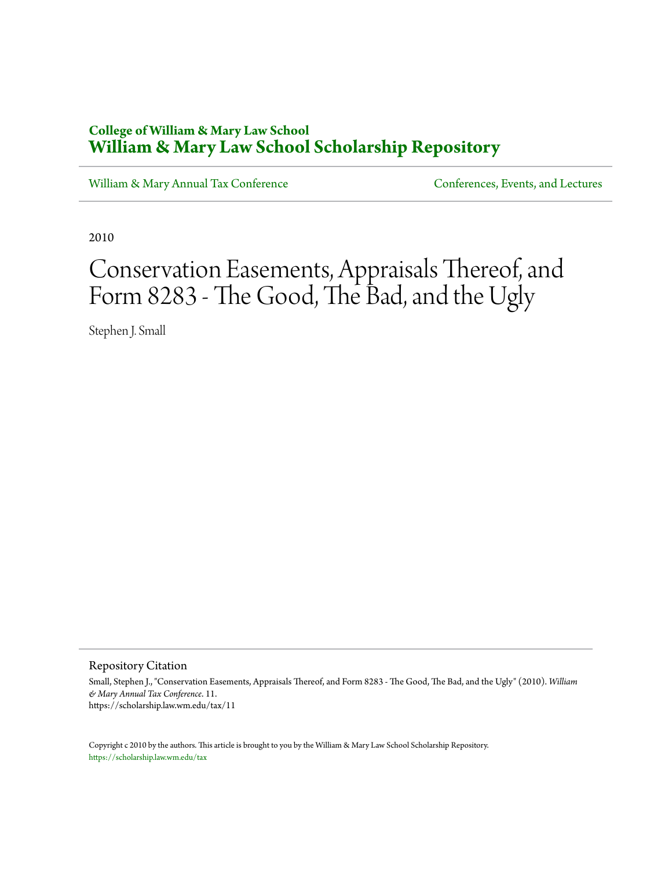# **College of William & Mary Law School [William & Mary Law School Scholarship Repository](https://scholarship.law.wm.edu)**

[William & Mary Annual Tax Conference](https://scholarship.law.wm.edu/tax) [Conferences, Events, and Lectures](https://scholarship.law.wm.edu/events)

2010

# Conservation Easements, Appraisals Thereof, and Form 8283 - The Good, The Bad, and the Ugly

Stephen J. Small

Repository Citation

Small, Stephen J., "Conservation Easements, Appraisals Thereof, and Form 8283 - The Good, The Bad, and the Ugly" (2010). *William & Mary Annual Tax Conference*. 11. https://scholarship.law.wm.edu/tax/11

Copyright c 2010 by the authors. This article is brought to you by the William & Mary Law School Scholarship Repository. <https://scholarship.law.wm.edu/tax>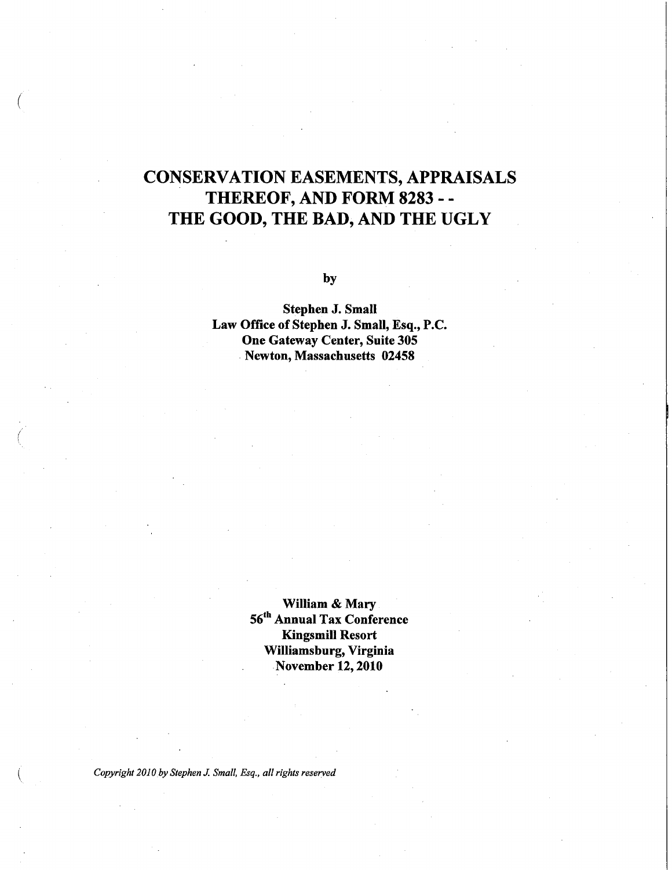# CONSERVATION EASEMENTS, APPRAISALS THEREOF, AND FORM 8283 - - THE GOOD, THE BAD, AND THE UGLY

by

Stephen J. Small Law Office of Stephen J. Small, Esq., P.C. One Gateway Center, Suite 305 . Newton, Massachusetts 02458

> William & Mary 56th Annual Tax Conference Kingsmill Resort Williamsburg, Virginia November 12, 2010

*Copyright 2010by Stephen* J. *Small. Esq .• all rights reserved* 

(

 $\big($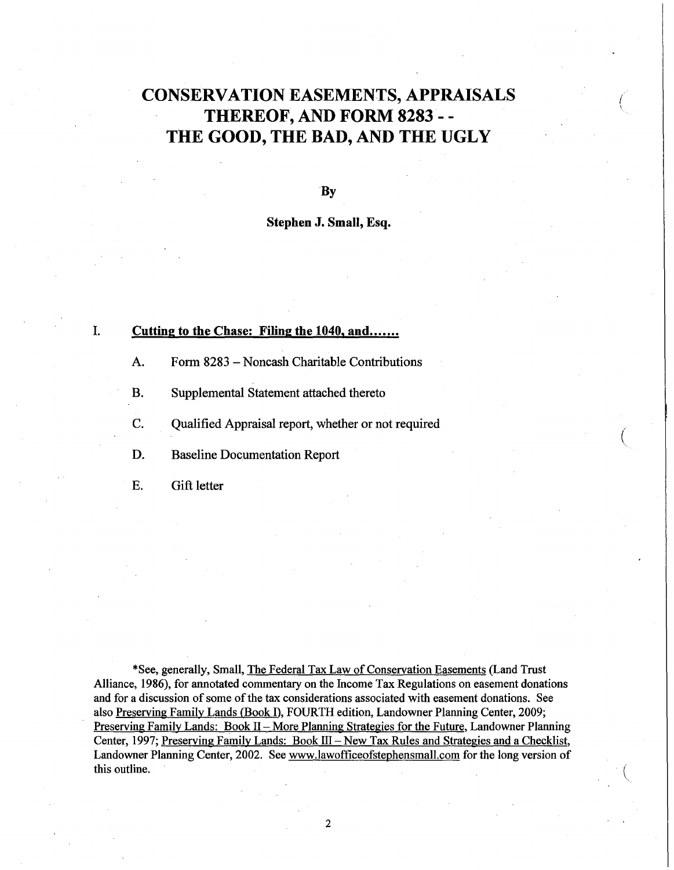# CONSERVATION EASEMENTS, APPRAISALS THEREOF, AND FORM 8283 - - THE GOOD, THE BAD, AND THE UGLY

( '.

 $\big($ 

**B**<sub>v</sub>

Stephen J. Small, Esq.

#### I. Cutting to the Chase: Filing the 1040, and.......

- A. Form 8283 Noncash Charitable Contributions
- B. Supplemental Statement attached thereto
- C. Qualified Appraisal report, whether or not required
- D. Baseline Documentation Report
- E. Gift letter

\*See, generally, Small, The Federal Tax Law of Conservation Easements (Land Trust Alliance, 1986), for annotated commentary on the Income Tax Regulations on easement donations and for a discussion of some of the tax considerations associated with easement donations. See also Preserving Family Lands (Book I), FOURTH edition, Landowner Planning Center, 2009; Preserving Family Lands: Book II – More Planning Strategies for the Future, Landowner Planning Center, 1997; Preserving Family Lands: Book  $III - New Tax Rules$  and Strategies and a Checklist, Landowner Planning Center, 2002. See www.JawofficeofstephensmaII.com for the long version of this outline.  $($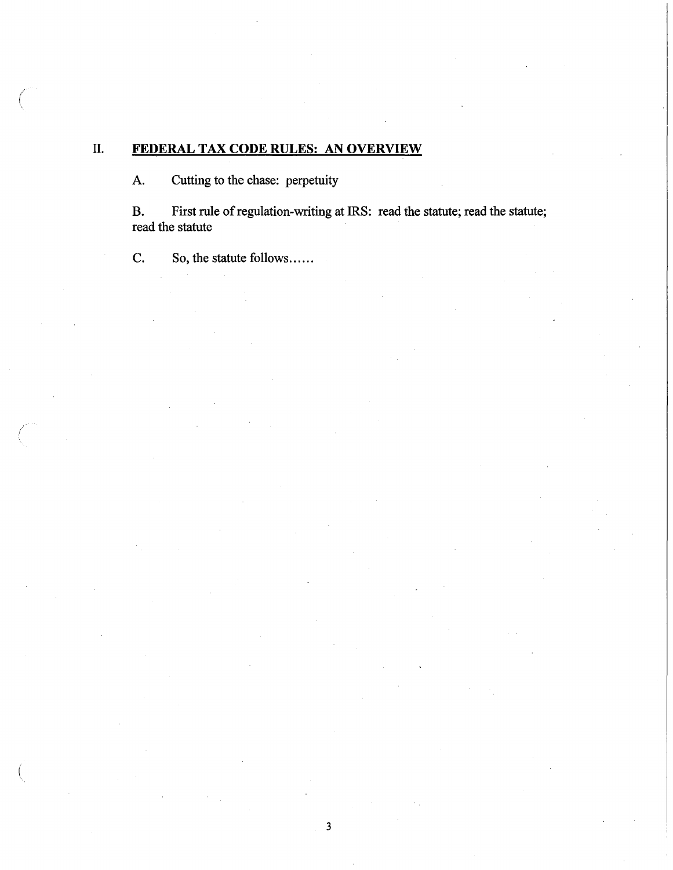# II. **FEDERAL TAX CODE RULES: AN OVERVIEW**

A. Cutting to the chase: perpetuity

 $\big($ 

B. First rule of regulation-writing at IRS: read the statute; read the statute; read the statute

C. So, the statute follows......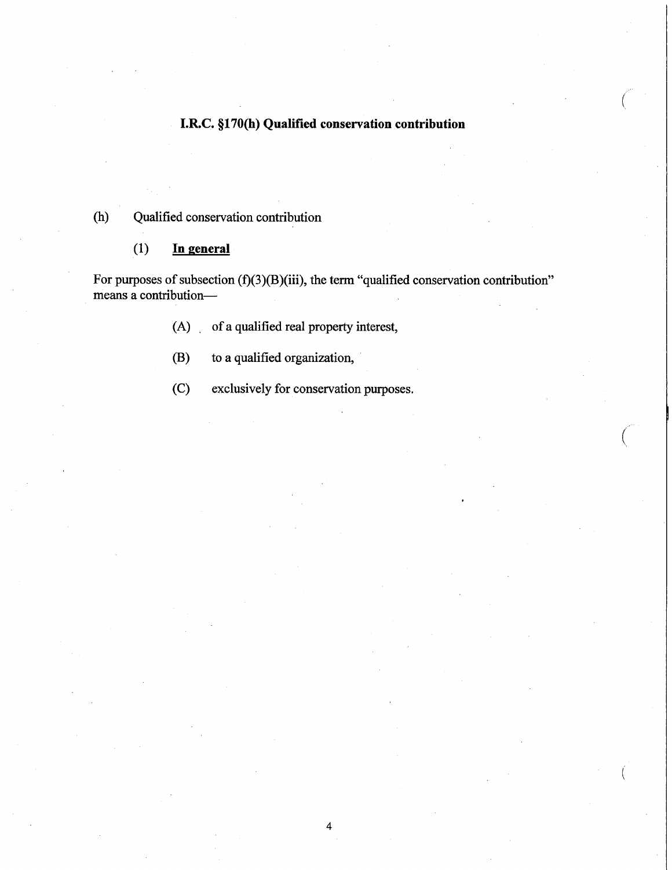# **I.R.C. §170(b) Qualified conservation contribution**

 $\big($ 

 $\big(\begin{smallmatrix} \cdot & \cdot \end{smallmatrix}$ 

# (h) Qualified conservation contribution

## (1) **In general**

For purposes of subsection  $(f)(3)(B)(iii)$ , the term "qualified conservation contribution" means a contribution-

(A) of a qualified real property interest,

- (B) to a qualified organization,
- (C) exclusively for conservation purposes.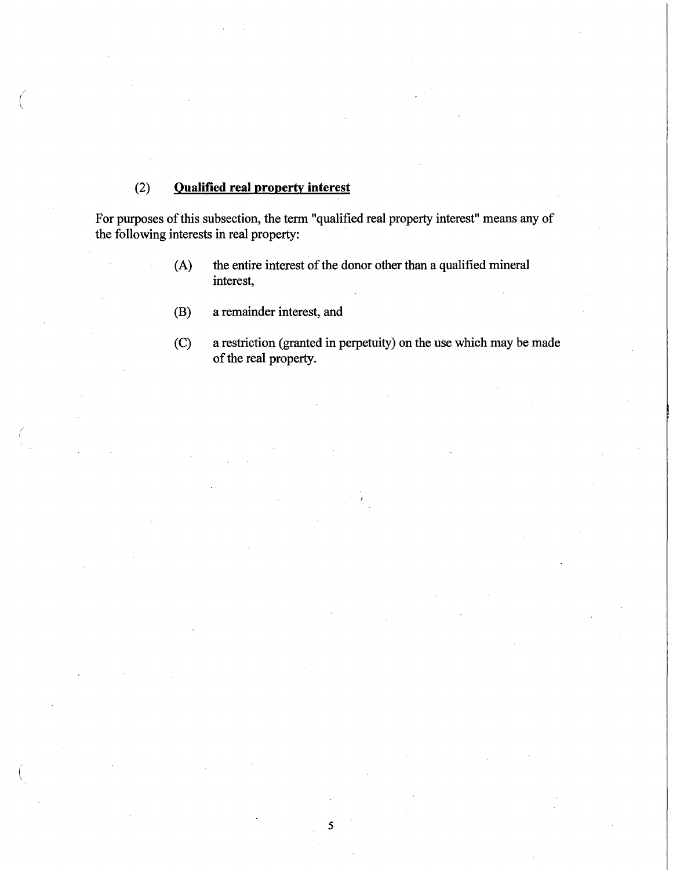# (2) **Qualified real property interest**

(

For purposes of this subsection, the term "qualified real property interest" means any of the following interests in real property:

- (A) the entire interest of the donor other than a qualified mineral interest,
- (B) a remainder interest, and
- (C) a restriction (granted in perpetuity) on the use which may be made of the real property.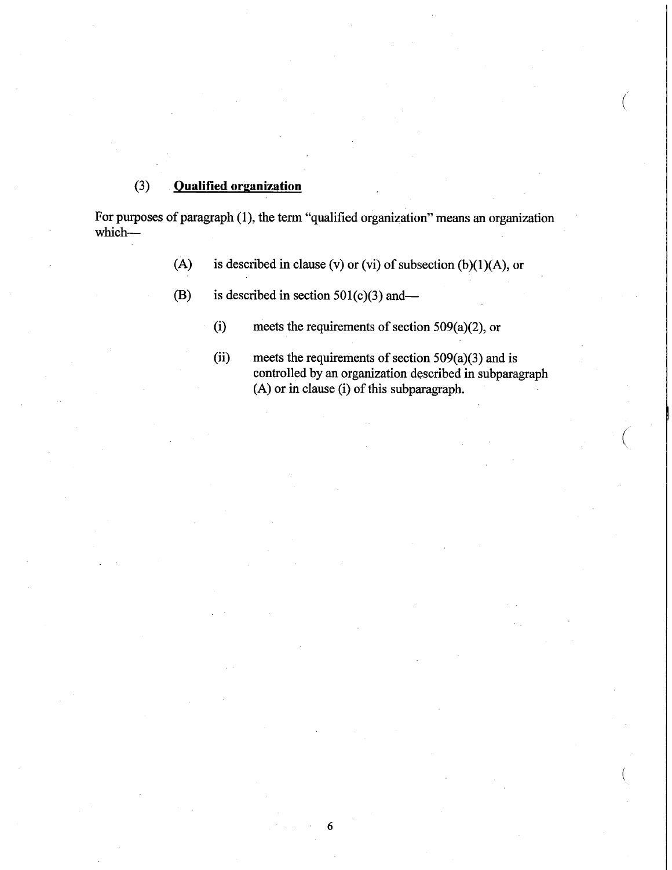# (3) **Qualified organization**

For purposes of paragraph (1), the term "qualified organization" means an organization which-

6

- (A) is described in clause (v) or (vi) of subsection (b)(1)(A), or
- (B) is described in section  $501(c)(3)$  and-
	- (i) meets the requirements of section 509(a)(2), or
	- (ii) meets the requirements of section  $509(a)(3)$  and is controlled by an organization described in subparagraph (A) or in clause (i) of this subparagraph.

(

 $\bigg($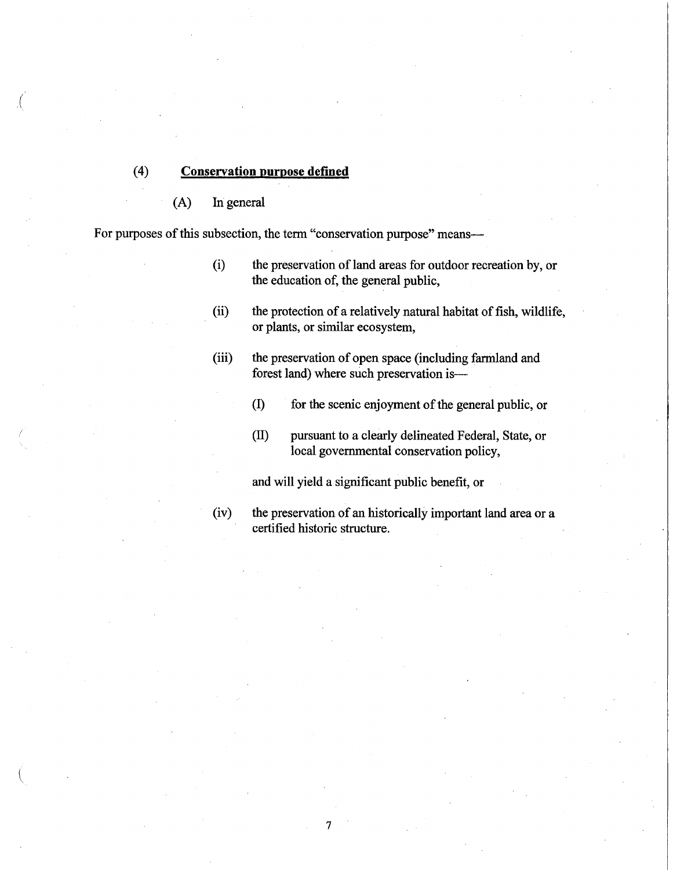## (4) **Conservation purpose defined**

(A) In general

(

For purposes of this subsection, the term "conservation purpose" means---

- (i) the preservation of land areas for outdoor recreation by, or the education of, the general public,
- (ii) the protection of a relatively natural habitat of fish, wildlife, or plants, or similar ecosystem,
- (iii) the preservation of open space (including farmland and forest land) where such preservation is-
	- (1) for the scenic enjoyment of the general public, or
	- (II) pursuant to a clearly delineated Federal, State, or local governmental conservation policy,

and will yield a significant public benefit, or

7

(iv) the preservation of an historically important land area or a certified historic structure.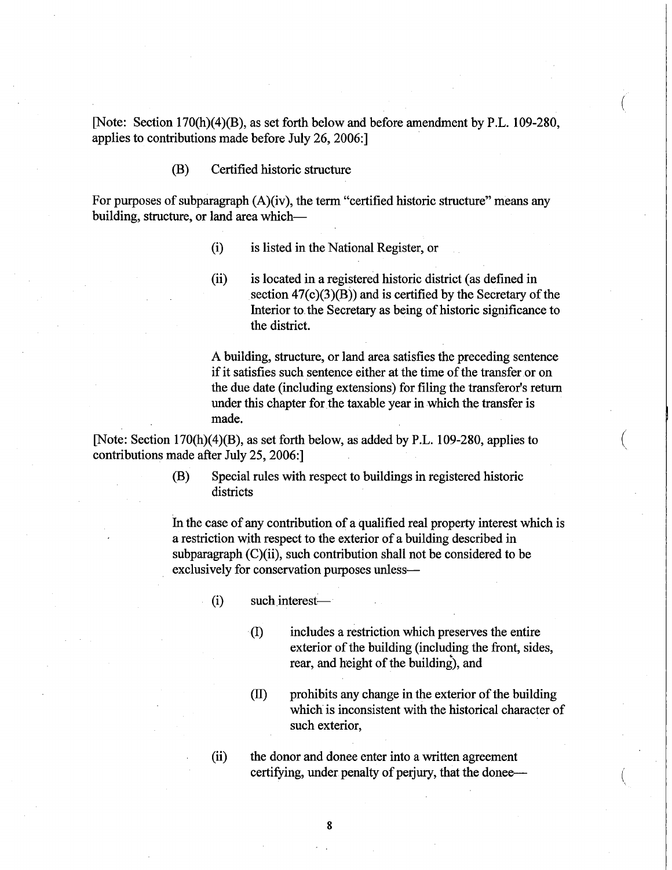[Note: Section 170(h)(4)(B), as set forth below and before amendment by P.L. 109-280, applies to contributions made before July 26,2006:]

(B) Certified historic structure

For purposes of subparagraph (A)(iv), the term "certified historic structure" means any building, structure, or land area which-

- (i) is listed in the National Register, or
- (ii) is located in a registered historic district (as defined in section  $47(c)(3)(B)$ ) and is certified by the Secretary of the Interior to. the Secretary as being of historic significance to the district.

A building, structure, or land area satisfies the preceding sentence if it satisfies such sentence either at the time of the transferor on the due date (including extensions) for filing the transferor's return under this chapter for the taxable year in which the transfer is made.

 $\left(\right)$ 

 $(\bar{\phantom{a}}% )^{2}$ 

[Note: Section 170(h)(4)(B), as set forth below, as added by P.L. 109-280, applies to contributions made after July 25,2006:]

> (B) Special rules with respect to buildings in registered historic districts

In the case of any contribution of a qualified real property interest which is a restriction with respect to the exterior of a building described in subparagraph  $(C)(ii)$ , such contribution shall not be considered to be exclusively for conservation purposes unless-

- $(i)$  such interest—
	- . (I) includes a restriction which preserves the entire exterior of the building (including the front, sides, rear, and height of the building), and
	- (II) prohibits any change in the exterior of the building which is inconsistent with the historical character of such exterior,

(ii) the donor and donee enter into a written agreement certifying, under penalty of perjury, that the donee—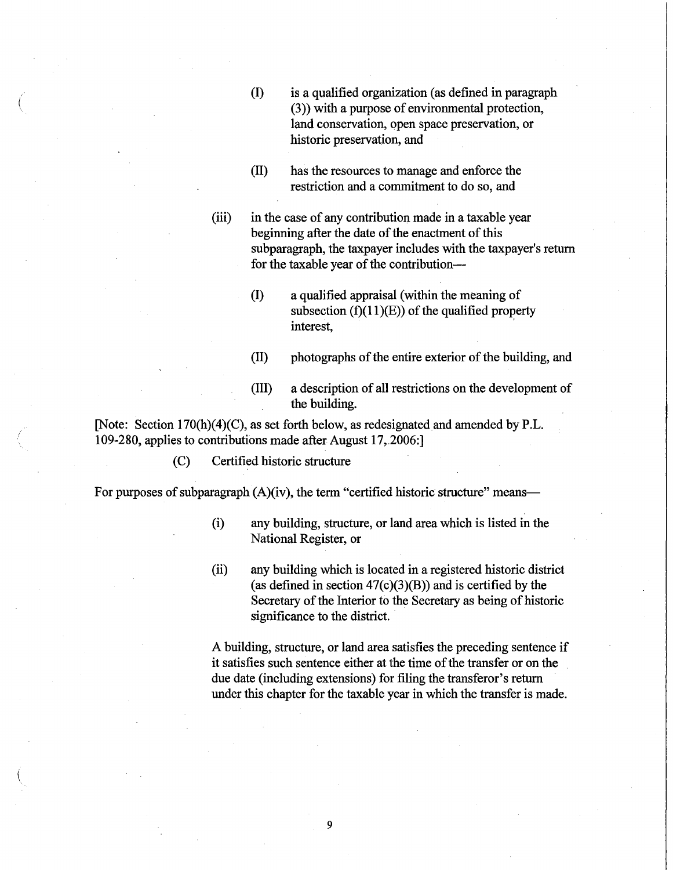- ( (I) is a qualified organization (as defined in paragraph (3)) with a purpose of environmental protection, land conservation, open space preservation, or historic preservation, and
	- (ll) has the resources to manage and enforce the restriction and a commitment to do so, and

(iii) in the case of any contribution made in a taxable year beginning after the date of the enactment of this subparagraph, the taxpayer includes with the taxpayer's return for the taxable year of the contribution-

- (I) a qualified appraisal (within the meaning of subsection  $(f)(11)(E)$  of the qualified property interest,
- (ll) photographs of the entire exterior of the building, and
- (lll) a description of all restrictions on the development of the building.

[Note: Section 170(h)(4)(C), as set forth below, as redesignated and amended by P.L. 109-280, applies to contributions made after August 17,.2006:]

(C) Certified historic structure

For purposes of subparagraph  $(A)(iv)$ , the term "certified historic structure" means-

- (i) any building, structure, or land area which is listed in the National Register, or
- (ii) any building which is located in a registered historic district (as defined in section  $47(c)(3)(B)$ ) and is certified by the Secretary of the Interior to the Secretary as being of historic significance to the district.

A building, structure, or land area satisfies the preceding sentence if it satisfies such sentence either at the time of the transfer or on the due date (including extensions) for filing the transferor's return under this chapter for the taxable year in which the transfer is made.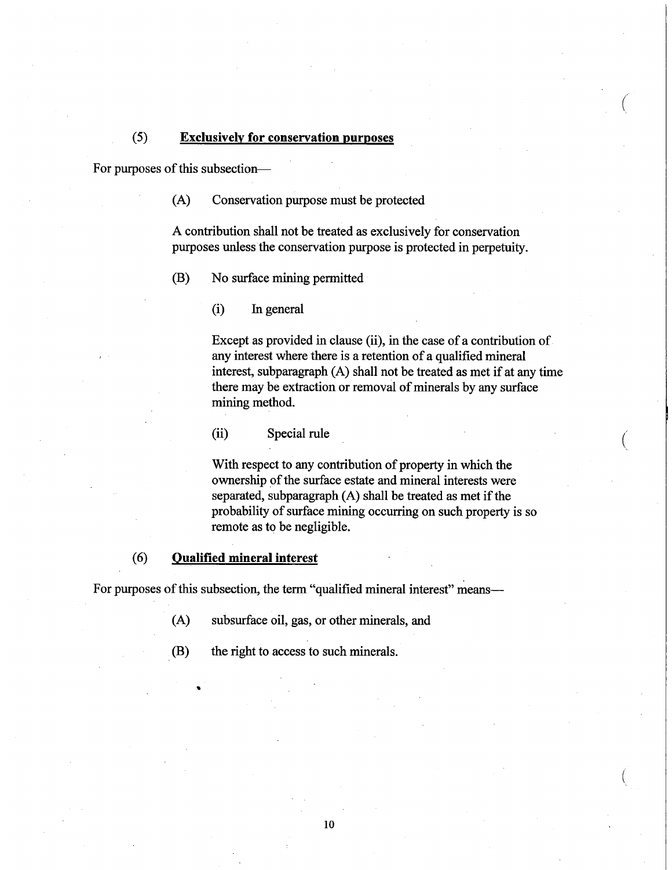#### (5) **Exclusively for conservation purposes**

For purposes of this subsection-

(A) Conservation purpose must be protected

A contribution shall not be treated as exclusively for conservation purposes unless the conservation purpose is protected in perpetuity.

(B) No surface mining permitted

(i) In general

Except as provided in clause (ii), in the case of a contribution of any interest where there is a retention of a qualified mineral interest, subparagraph (A) shall not be treated as met if at any time there may be extraction or removal of minerals by any surface mining method.

 $\big($ 

 $\left(\right)$ 

(ii) Special rule

With respect to any contribution of property in which the ownership of the surface estate and mineral interests were separated, subparagraph (A) shall be treated as met if the probability of surface mining occurring on such property is so remote as to be negligible.

#### (6) **Qualified mineral interest**

..

For purposes of this subsection, the term "qualified mineral interest" means-

(A) subsurface oil, gas, or other minerals, and

(B) the right to access to such minerals.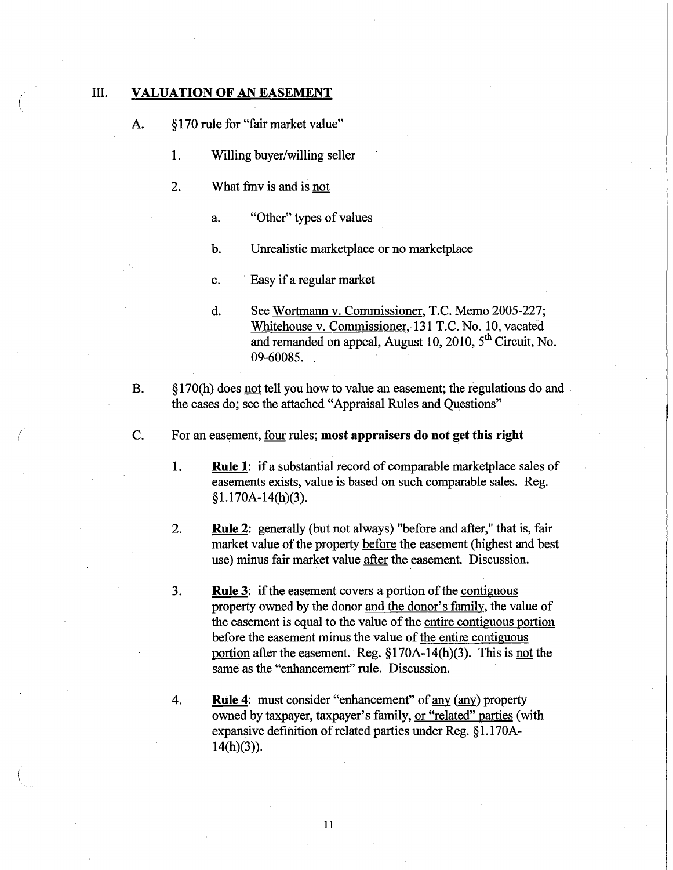#### $($  III. **VALUATION OF AN EASEMENT**

(

(

- A. § 170 rule for "fair market value"
	- I. Willing buyer/willing seller
	- 2. What fmv is and is not
		- a. "Other" types of values
		- b. Unrealistic marketplace or no marketplace
		- c. . Easy if a regular market
		- d. See Wortmann v. Commissioner, T.C. Memo 2005-227; Whitehouse v. Commissioner, 131 T.C. No. 10, vacated and remanded on appeal, August 10, 2010,  $5<sup>th</sup>$  Circuit, No. 09-60085.
- B. § 170(h) does not tell you how to value an easement; the regulations do and the cases do; see the attached "Appraisal Rules and Questions"
- C. For an easement, four rules; **most appraisers do not get this right** 
	- I. **Rule** 1: if a substantial record of comparable marketplace sales of easements exists, value is based on such comparable sales. Reg. §1.170A-14(h)(3).
	- 2. **Rule** 2: generally (but not always) "before and after," that is, fair market value of the property before the easement (highest and best use) minus fair market value after the easement. Discussion.
	- 3. **Rule** 3: if the easement covers a portion of the contiguous property owned by the donor and the donor's family, the value of the easement is equal to the value of the entire contiguous portion before the easement minus the value of the entire contiguous portion after the easement. Reg. §170A-14(h)(3). This is not the same as the "enhancement" rule. Discussion.
	- 4. **Rule** 4: must consider "enhancement" of any (any) property owned by taxpayer, taxpayer's family, or "related" parties (with expansive definition of related parties under Reg. § 1.170A- $14(h)(3)$ ).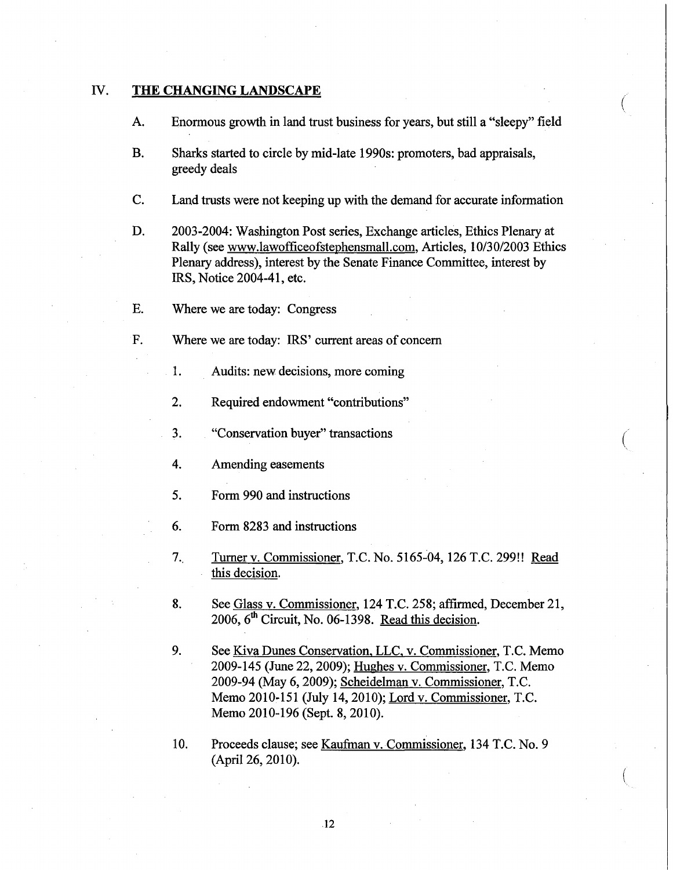### IV. **THE CHANGING LANDSCAPE**

A. Enormous growth in land trust business for years, but still a "sleepy" field

 $\left(\right)$ 

 $\left(\right)$ 

- B. Sharks started to circle by mid-late 1990s: promoters, bad appraisals, greedy deals
- C. Land trusts were not keeping up with the demand for accurate information
- D. 2003-2004: Washington Post series, Exchange articles, Ethics Plenary at Rally (see www.lawofficeofstephensmall.com. Articles, *10/30/2003* Ethics Plenary address), interest by the Senate Finance Committee, interest by IRS, Notice 2004-41, etc.
- E. Where we are today: Congress
- F. Where we are today: IRS' current areas of concern
	- 1. Audits: new decisions, more coming
	- 2. Required endowment "contributions"
	- 3. "Conservation buyer" transactions
	- 4. Amending easements
	- 5. Form 990 and instructions
	- 6. Form 8283 and instructions
	- 7. Turner v. Commissioner, T.C. No. 5165~04, 126 T.C. 299!! Read this decision.
	- 8. See Glass v. Commissioner, 124 T.C. 258; affirmed, December 21, 2006,  $6<sup>th</sup>$  Circuit, No. 06-1398. Read this decision.
	- 9. See Kiva Dunes Conservation, LLC, v. Commissioner, T.C. Memo 2009-145 (June 22,2009); Hughes v. Commissioner, T.C. Memo 2009-94 (May 6, 2009); Scheidelman v. Commissioner, T.C. Memo 201O~151 (July 14,2010); Lord v. Commissioner, T.C. Memo 2010-196 (Sept. 8,2010).
	- 10. Proceeds clause; see Kaufinan v.Commissioner, 134 T.C. No.9 (April 26, 2010).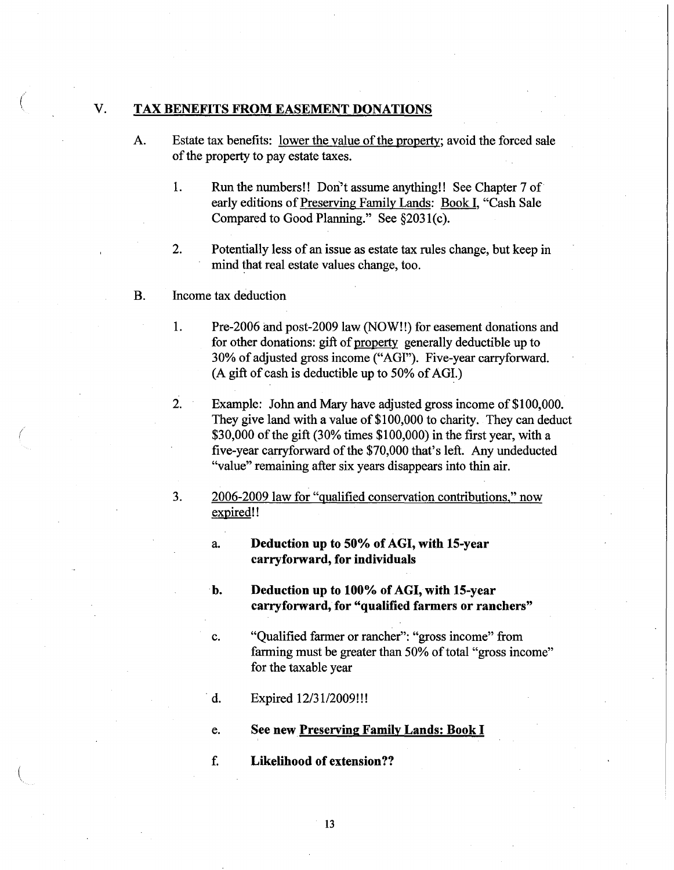#### $\begin{pmatrix} 0 & 0 \\ 0 & 0 \end{pmatrix}$  v. TAX BENEFITS FROM EASEMENT DONATIONS

- A. Estate tax benefits: lower the value of the property; avoid the forced sale of the property to pay estate taxes.
	- 1. Run the numbers!! Don't assume anything!! See Chapter 7 of early editions of Preserving Family Lands: Book I, "Cash Sale Compared to Good Planning." See §2031(c).
	- 2. Potentially less of an issue as estate tax rules change, but keep in mind that real estate values change, too.
- B. Income tax deduction

(

- 1. Pre-2006 and post-2009 law (NOW!!) for easement donations and for other donations: gift of property generally deductible up to 30% of adjusted gross income ("AGI"). Five-year carryforward. (A gift of cash is deductible up to 50% of AGI.)
- 2. Example: John and Mary have adjusted gross income of \$100,000. They give land with a value of \$100,000 to charity. They can deduct \$30,000 of the gift (30% times \$100,000) in the first year, with a five-year carryforward of the \$70,000 that's left. Any undeducted "value" remaining after six years disappears into thin air.
- 3. 2006-2009 law for "qualified conservation contributions," now expired!!

a. Deduction up to 50% of AGI, with 15-year carryforward, for individuals

- b. Deduction up to 100% of AGI, with 15-year carryforward, for "qualified farmers or ranchers"
- c. "Qualified farmer or rancher": "gross income" from farming must be greater than 50% of total "gross income" for the taxable year
- d. Expired  $12/31/2009$ !!!
- e. See new Preserving Family Lands: Book I
- f. Likelihood of extension??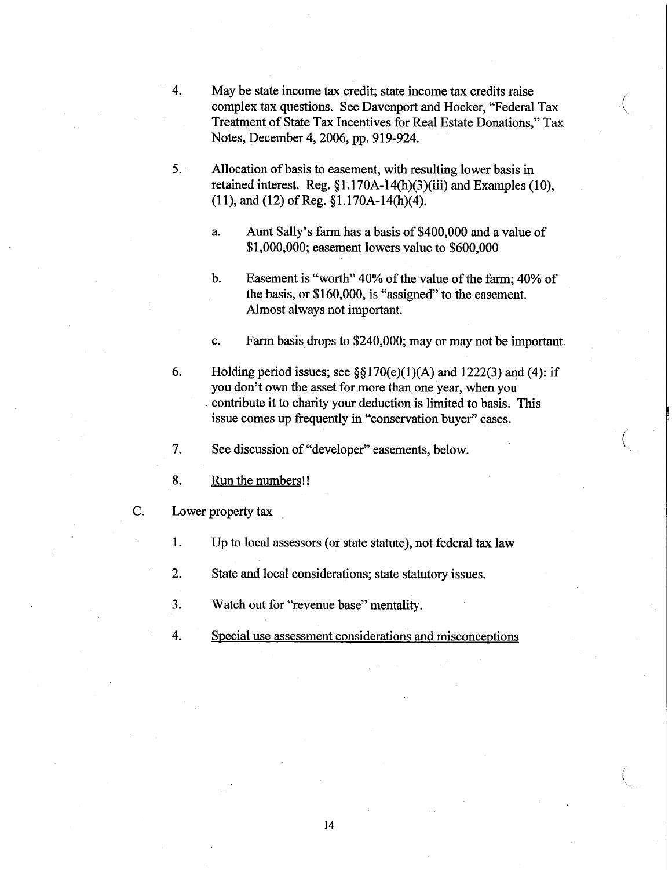- 4. May be state income tax credit; state income tax credits raise<br>complex tax questions. See Davenport and Hocker, "Federal Tax Treatment of State Tax Incentives for Real Estate Donations," Tax Notes, December 4,2006, pp. 919-924.
- 5. Allocation of basis to easement, with resulting lower basis in retained interest. Reg. §1.170A-14(h)(3)(iii) and Examples (10), (11), and (12) of Reg. §l.170A-14(h)(4).
	- a. Aunt Sally's farm has a basis of \$400,000 and a value of \$1,000,000; easement lowers value to \$600,000
	- b. Easement is "worth" 40% of the value of the farm; 40% of the basis, or \$160,000, is "assigned" to the easement. Almost always not important.

c. Farm basis drops to \$240,000; mayor may not be important.

6. Holding period issues; see  $\S$ [3]  $70(e)(1)(A)$  and 1222(3) and (4): if you don't own the asset for more than one year, when you contribute it to charity your deduction is limited to basis. This issue comes up frequently in "conservation buyer" cases.

7. See discussion of "developer" easements, below. (

- 8. Run the numbers!!
- c. Lower property tax
	- l. Up to local assessors (or state statute), not federal tax law
	- 2. State and local considerations; state statutory issues.
	- 3. Watch out for "revenue base" mentality.
	- 4. Special use assessment considerations and misconceptions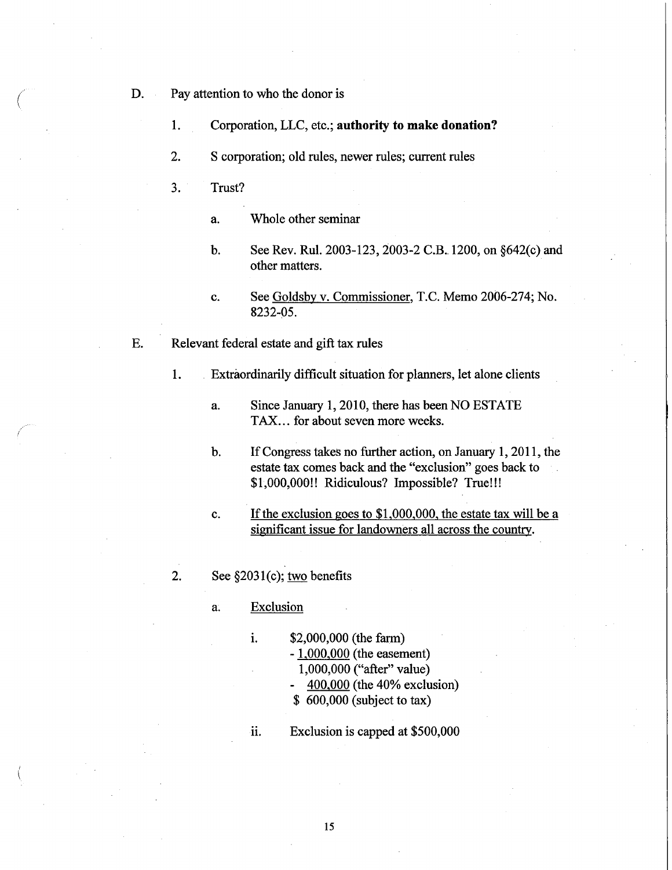- D. Pay attention to who the donor is
	- 1. Corporation, LLC, etc.; **authority to make donation?**
	- 2. S corporation; old rules, newer rules; current rules
	- 3. Trust?
		- a. Whole other seminar
		- b. See Rev. Rul. 2003-123, 2003-2 C.B..1200, on §642(c) and other matters.
		- c. See Goldsby v. Commissioner, T.C. Memo 2006-274; No. 8232-05.
- E. Relevant federal estate and gift tax rules
	- 1. Extraordinarily difficult situation for planners, let alone clients
		- a. Since January 1,2010, there has been NO ESTATE TAX... for about seven more weeks.
		- b. If Congress takes no further action, on January 1,2011, the estate tax comes back and the "exclusion" goes back to \$1 ,OOO,OOO!! Ridiculous? Impossible? True!!!
		- c. If the exclusion goes to  $$1,000,000$ , the estate tax will be a significant issue for landowners all across the country.
	- 2. See §2031(c); two benefits
		- a. Exclusion
			- 1. \$2,000,000 (the farm) - 1,000,000 (the easement) 1,000,000 ("after" value) - 400.000 (the 40% exclusion) \$ 600,000 (subject to tax)
			- ii. Exclusion is capped at  $$500,000$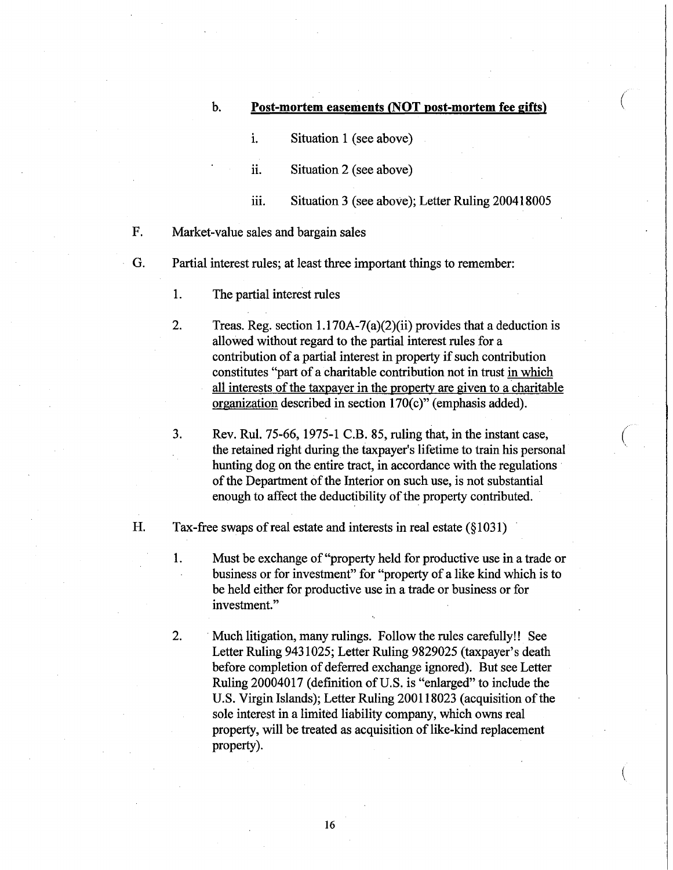#### b. **Post-mortem easements (NOT post-mortem fee gifts)**

 $\big($ 

 $\bigg($ '.

i. Situation 1 (see above)

ii. Situation 2 (see above)

- iii. Situation 3 (see above); Letter Ruling 200418005
- F. Market-value sales and bargain sales
- G. Partial interest rules; at least three important things to remember:
	- 1. The partial interest rules
	- 2. Treas. Reg. section  $1.170A-7(a)(2)(ii)$  provides that a deduction is allowed without regard to the partial interest rules for a contribution of a partial interest in property if such contribution constitutes "part of a charitable contribution not in trust in which all interests of the taxpayer in the property are given to a charitable organization described in section  $170(c)$ " (emphasis added).
	- 3. Rev. Rul. 75-66, 1975-1 c.B. 85, ruling that, in the instant case, the retained right during the taxpayer's lifetime to train his personal hunting dog on the entire tract, in accordance with the regulations of the Department of the Interior on such use, is not substantial enough to affect the deductibility of the property contributed.

H. Tax-free swaps of real estate and interests in real estate (§1031)

1. Must be exchange of "property held for productive use in a trade or business or for investment" for "property of a like kind which is to be held either for productive use in a trade or business or for investment."

2. . Much litigation, many rulings. Follow the rules carefully!! See Letter Ruling 9431025; Letter Ruling 9829025 (taxpayer's death before completion of deferred exchange ignored). But see Letter Ruling 20004017 (definition of U.S. is "enlarged" to include the U.S. Virgin Islands); Letter Ruling 200118023 (acquisition of the sole interest in a limited liability company, which owns real property, will be treated as acquisition of like-kind replacement property).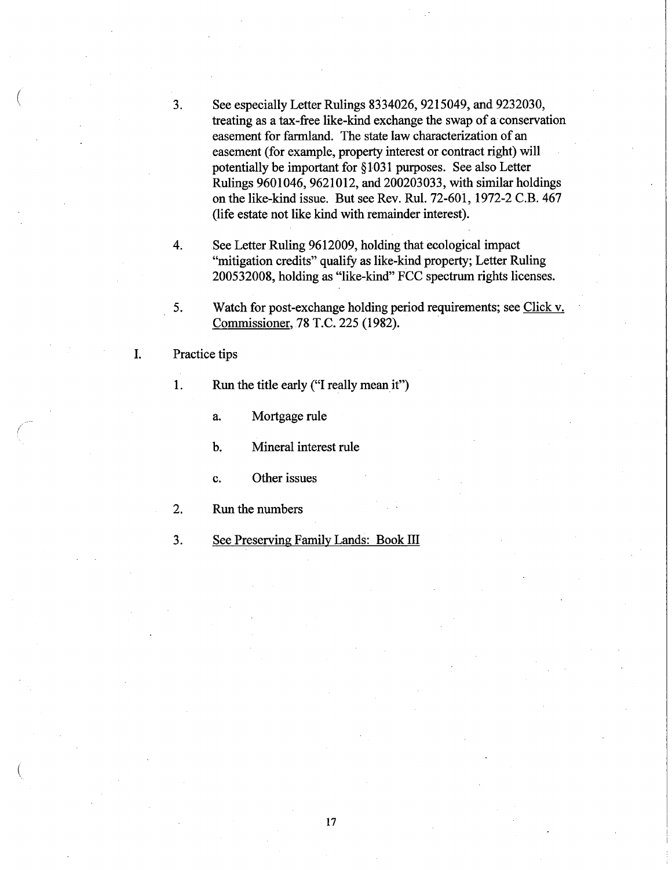- 3. See especially Letter Rulings 8334026, 9215049, and 9232030, treating as a tax-free like-kind exchange the swap of a conservation easement for farmland. The state law characterization of an easement (for example, property interest or contract right) will potentially be important for § 1031 purposes. See also Letter Rulings 9601046, 9621012, and 200203033, with similar holdings on the like-kind issue. But see Rev. Rul. 72-601, 1972-2 C.B. 467 (life estate not like kind with remainder interest).
- 4. See Letter Ruling 9612009, holding that ecological impact "mitigation credits" qualify as like-kind property; Letter Ruling 200532008, holding as "like-kind" FCC spectrum rights licenses.
- 5. Watch for post-exchange holding period requirements; see Click v. Commissioner, 78 T.C. 225 (1982). .
- 1. Practice tips

(

(

(

1. Run the title early ("I really mean it")

a. Mortgage rule

b. Mineral interest rule

- c. Other issues
- 2. Run the numbers

3. See Preserving Family Lands: Book ill

17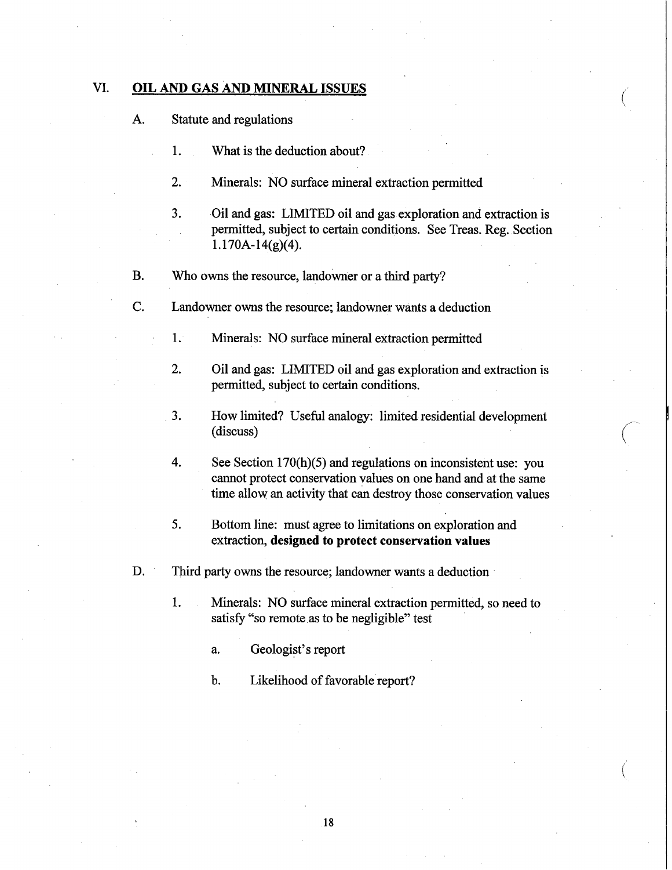### VI. **OIL** AND GAS AND MINERAL ISSUES

- A. Statute and regulations
	- 1. What is the deduction about?
	- 2. Minerals: NO surface mineral extraction permitted
	- 3. Oil and gas: LIMITED oil and gas exploration and extraction is permitted, subject to certain conditions. See Treas. Reg. Section  $1.170A-14(g)(4)$ .

(

- B. Who owns the resource, landowner or a third party?
- c. Landowner owns the resource; landowner wants a deduction
	- 1. Minerals: NO surface mineral extraction permitted
	- 2. Oil and gas: LIMITED oil and gas exploration and extraction is permitted, subject to certain conditions.
	- 3. How limited? Useful analogy: limited residential development (discuss)
	- 4. See Section 170(h)(5) and regulations on inconsistent use: you cannot protect conservation values on one hand and at the same time allow an activity that can destroy those conservation values
	- 5. Bottom line: must agree to limitations on exploration and extraction, designed to protect conservation values
- D. Third party owns the resource; landowner wants a deduction
	- 1. Minerals: NO surface mineral extraction permitted, so need to satisfy "so remote as to be negligible" test
		- a. Geologist's report
		- b. Likelihood of favorable report?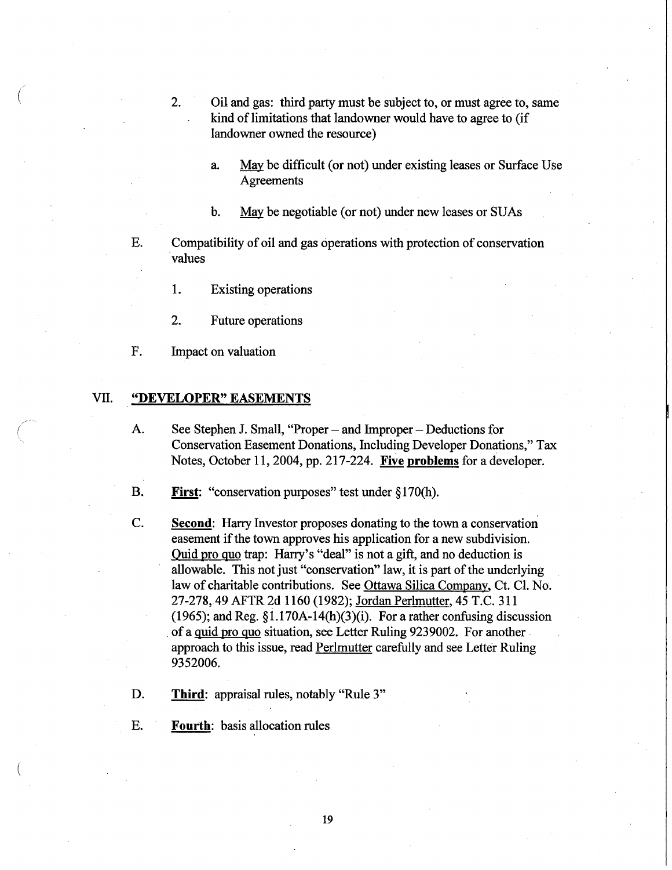- 2. Oil and gas: third party must be subject to, or must agree to, same kind of limitations that landowner would have to agree to (if landowner owned the resource)
	- a. May be difficult (or not) under existing leases or Surface Use **Agreements**
	- b. May be negotiable (or not) under new leases or SUAs

E. Compatibility of oil and gas operations with protection of conservation values

1. Existing operations

2. Future operations

F. Impact on valuation

#### VII. **"DEVELOPER" EASEMENTS**

A. See Stephen J. Small, "Proper – and Improper – Deductions for Conservation Easement Donations, Including Developer Donations," Tax Notes, October 11,2004, pp. 217-224. **Five problems** for a developer.

B. **First:** "conservation purposes" test under §170(h).

- C. **Second:** Harry Investor proposes donating to the town a conservation easement if the town approves his application for a new subdivision. Quid pro quo trap: Harry's "deal" is not a gift, and no deduction is allowable. This not just "conservation" law, it is part of the underlying law of charitable contributions. See Ottawa Silica Company, Ct. Cl. No. 27-278,49 AFTR 2d 1160 (1982); Jordan Perlmutter, 45 T.C. 311 (1965); and Reg.  $\S1.170A-14(h)(3)(i)$ . For a rather confusing discussion of a quid pro quo situation, see Letter Ruling 9239002. For another approach to this issue, read Perlmutter carefully and see Letter Ruling 9352006.
- D. **Third:** appraisal rules, notably "Rule 3"
- E. **Fourth:** basis allocation rules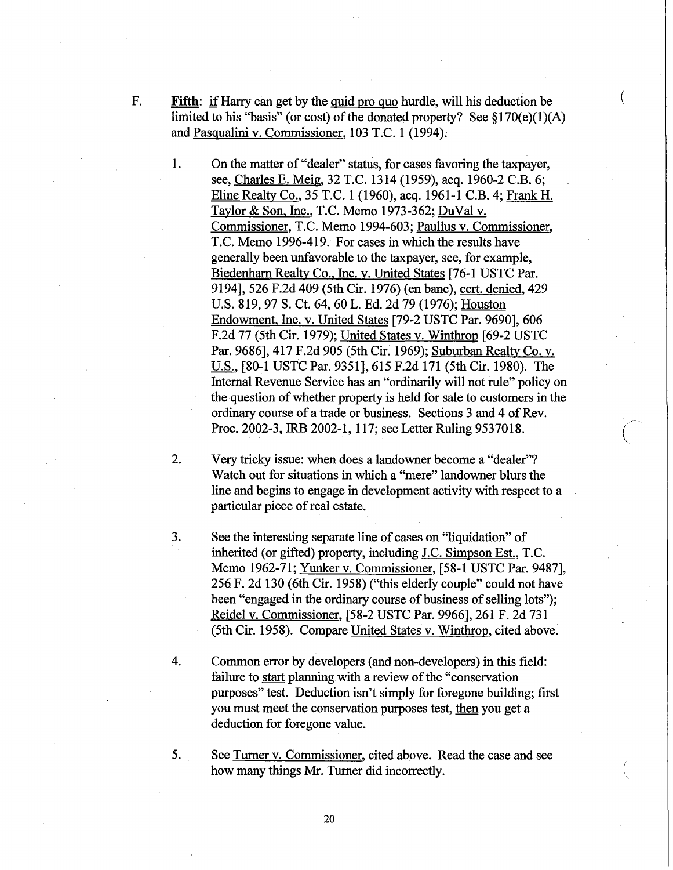- F. **Fifth:** if Harry can get by the quid pro quo hurdle, will his deduction be ( limited to his "basis" (or cost) of the donated property? See  $$170(e)(1)(A)$ and Pasqualini v. Commissioner, 103 T.C. 1 (1994);
	- 1. On the matter of "dealer" status, for cases favoring the taxpayer, see, Charles E. Meig, 32 T.C. 1314 (1959), acq. 1960-2 C.B. 6; Eline Realty Co., 35 T.C. 1 (1960), acq. 1961-1 C.B. 4; Frank H. Taylor & Son, Inc., T.C. Memo 1973-362; DuVal v. Commissioner, T.C. Memo 1994-603; Paullus v. Commissioner, T.C. Memo 1996-419. For cases in which the results have generally been unfavorable to the taxpayer, see, for example, Biedenharn Realty Co., Inc. v. United States [76-1 USTC Par. 9194], 526 F.2d 409 (5th Cir. 1976) (en banc), cert. denied, 429 U.S. 819,97 S. Ct. 64, 60 L. Ed. 2d 79 (1976); Houston Endowment, Inc. v. United States [79-2 USTC Par. 9690], 606 F.2d 77 (5th Cir. 1979); United States v. Winthrop [69-2 USTC Par. 9686], 417 F.2d 905 (5th Cir. 1969); Suburban Realty Co. v. U.S., [80-1 USTC Par. 9351],615 F.2d 171 (5th Cir. 1980). The Internal Revenue Service has an "ordinarily will not rule" policy on the question of whether property is held for sale to customers in the ordinary course of a trade or business. Sections 3 and 4 of Rev. Proc. 2002-3, IRB 2002-1, 117; see Letter Ruling 9537018.
	- 2. Very tricky issue: when does a landowner become a "dealer"? Watch out for situations in which a "mere" landowner blurs the line and begins to engage in development activity with respect to a particular piece of real estate.
	- 3. See the interesting separate line of cases on "liquidation" of inherited (or gifted) property, including J.C. Simpson Est., T.C. Memo 1962-71; Yunker v. Commissioner, [58-1 USTC Par. 9487], 256 F. 2d 130 (6th Cir. 1958) ("this elderly couple" could not have been "engaged in the ordinary course of business of selling lots"); Reidel v. Commissioner, [58-2 USTC Par. 9966], 261 F. 2d 731 (5th Cir. 1958). Compare United States v. Winthrop, cited above.
	- 4. Common error by developers (and non-developers) in this field: failure to start planning with a review of the "conservation purposes" test. Deduction isn't simply for foregone building; first you must meet the conservation purposes test, then you get a deduction for foregone value.
	- 5. See Turner v. Commissioner, cited above. Read the case and see how many things Mr. Turner did incorrectly.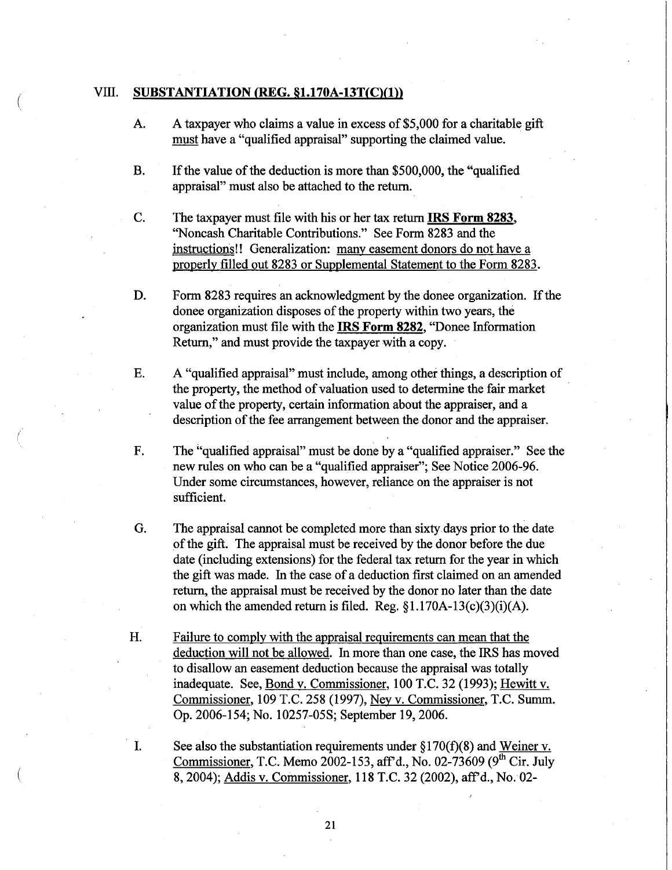#### VIII. **SUBSTANTIATION** (REG. **§1.170A-13T(C)(1))**

 $\left(\right|$ 

(

- A. A taxpayer who claims a value in excess of \$5,000 for a charitable gift must have a "qualified appraisal" supporting the claimed value.
- B. If the value of the deduction is more than \$500,000, the "qualified appraisal" must also be attached to the return.
- C. The taxpayer must file with his or her tax return **IRS Form** 8283, "Noncash Charitable Contributions." See Form 8283 and the instructions!! Generalization: many easement donors do not have a properly filled out 8283 or Supplemental Statement to the Form 8283.
- D. Form 8283 requires an acknowledgment by the donee organization. If the donee organization disposes of the property within two years, the organization must file with the **IRS Form** 8282, "Donee Information Return," and must provide the taxpayer with a copy.
- E. A "qualified appraisal" must include, among other things, a description of the property, the method of valuation used to determine the fair market value of the property, certain information about the appraiser, and a description of the fee arrangement between the donor and the appraiser.
- F. The "qualified appraisal" must be done by a "qualified appraiser." See the new rules on who can be a "qualified appraiser"; See Notice 2006-96. Under some circumstances, however, reliance on the appraiser is not sufficient.
- G. The appraisal cannot be completed more than sixty days prior to the date of the gift. The appraisal must be received by the donor before the due date (including extensions) for the federal tax return for the year in which the gift was made. In the case of a deduction first claimed on an amended return, the appraisal must be received by the donor no later than the date on which the amended return is filed. Reg.  $\S1.170A-13(c)(3)(i)(A)$ .
- H. Failure to comply with the appraisal requirements can mean that the deduction will not be allowed. In more than one case, the IRS has moved to disallow an easement deduction because the appraisal was totally inadequate. See, Bond v. Commissioner, 100 T.C. 32 (1993); Hewitt v. Commissioner, 109 T.C. 258 (1997), Ney v. Commissioner, T.C. Summ. Op. 2006-154; No. 10257-05S; September 19,2006.
- I. See also the substantiation requirements under  $\S170(f)(8)$  and Weiner v. Commissioner, T.C. Memo 2002-153, aff'd., No. 02-73609 ( $9^{\overline{th}}$  Cir. July 8,2004); Addis v. Commissioner, 118 T.C. 32 (2002), aff'd., No. 02-